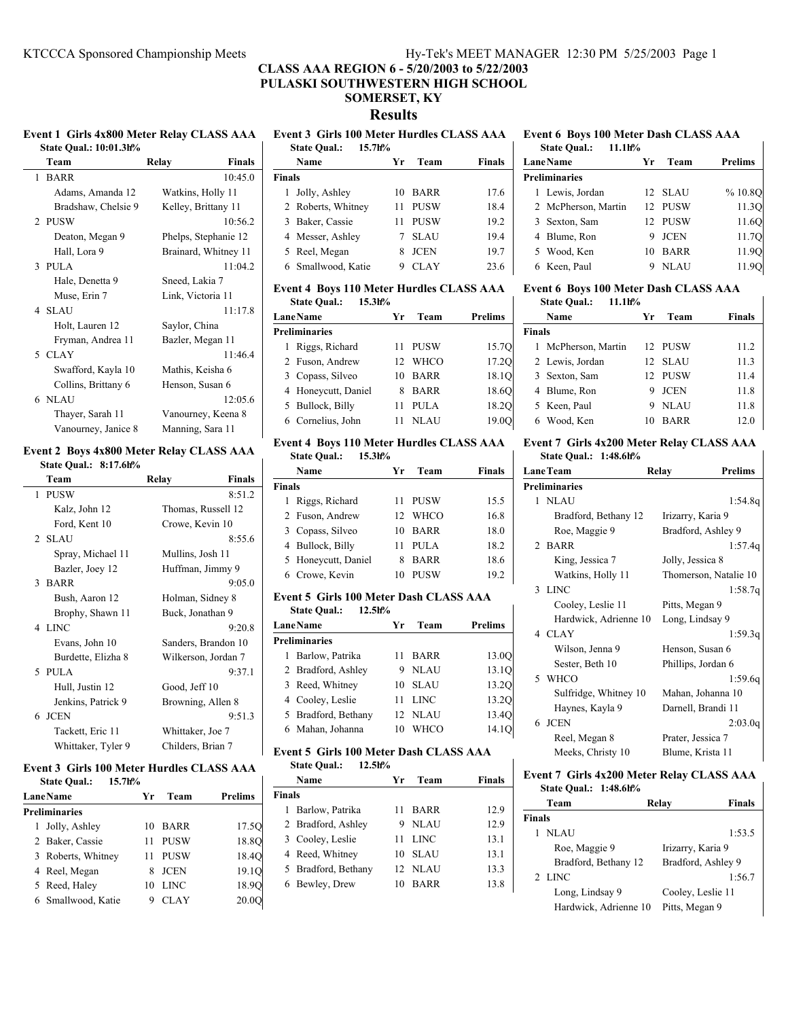# **CLASS AAA REGION 6 - 5/20/2003 to 5/22/2003 PULASKI SOUTHWESTERN HIGH SCHOOL**

# **SOMERSET, KY**

**Results**

# **State Qual.: 10:01.3h%**

| Team                | <b>Finals</b><br>Relay |
|---------------------|------------------------|
| 1 BARR              | 10:45.0                |
| Adams, Amanda 12    | Watkins, Holly 11      |
| Bradshaw, Chelsie 9 | Kelley, Brittany 11    |
| 2 PUSW              | 10:56.2                |
| Deaton, Megan 9     | Phelps, Stephanie 12   |
| Hall, Lora 9        | Brainard, Whitney 11   |
| $3$ PULA            | 11:04.2                |
| Hale, Denetta 9     | Sneed, Lakia 7         |
| Muse, Erin 7        | Link, Victoria 11      |
| 4 SLAU              | 11:17.8                |
| Holt, Lauren 12     | Saylor, China          |
| Fryman, Andrea 11   | Bazler, Megan 11       |
| 5 CLAY              | 11:46.4                |
| Swafford, Kayla 10  | Mathis, Keisha 6       |
| Collins, Brittany 6 | Henson, Susan 6        |
| 6 NLAU              | 12:05.6                |
| Thayer, Sarah 11    | Vanourney, Keena 8     |
| Vanourney, Janice 8 | Manning, Sara 11       |

### **Event 2 Boys 4x800 Meter Relay CLASS AAA State Qual.: 8:17.6h%**

| Team               | <b>Finals</b><br>Relav |
|--------------------|------------------------|
| 1 PUSW             | 8:51.2                 |
| Kalz, John 12      | Thomas, Russell 12     |
| Ford, Kent 10      | Crowe, Kevin 10        |
| 2 SLAU             | 8:55.6                 |
| Spray, Michael 11  | Mullins, Josh 11       |
| Bazler, Joey 12    | Huffman, Jimmy 9       |
| 3 BARR             | 9:05.0                 |
| Bush, Aaron 12     | Holman, Sidney 8       |
| Brophy, Shawn 11   | Buck, Jonathan 9       |
| 4 LINC             | 9:20.8                 |
| Evans, John 10     | Sanders, Brandon 10    |
| Burdette, Elizha 8 | Wilkerson, Jordan 7    |
| 5 PULA             | 9:37.1                 |
| Hull, Justin 12    | Good, Jeff 10          |
| Jenkins, Patrick 9 | Browning, Allen 8      |
| 6 JCEN             | 9:51.3                 |
| Tackett, Eric 11   | Whittaker, Joe 7       |
| Whittaker, Tyler 9 | Childers, Brian 7      |

### **Event 3 Girls 100 Meter Hurdles CLASS AAA**

| 15.7h%<br><b>State Qual.:</b> |    |             |                   |
|-------------------------------|----|-------------|-------------------|
| <b>Lane</b> Name              | Yr | Team        | <b>Prelims</b>    |
| <b>Preliminaries</b>          |    |             |                   |
| 1 Jolly, Ashley               | 10 | BARR        | 17.5O             |
| 2 Baker, Cassie               | 11 | <b>PUSW</b> | 18.8O             |
| 3 Roberts, Whitney            | 11 | PUSW        | 18.4O             |
| 4 Reel, Megan                 | 8  | <b>JCEN</b> | 19.1 <sub>O</sub> |
| 5 Reed, Haley                 | 10 | <b>LINC</b> | 18.90             |
| 6 Smallwood, Katie            | 9  | <b>CLAY</b> | 20.0Q             |

#### **Event 1 Girls 4x800 Meter Relay CLASS AAA Event 3 Girls 100 Meter Hurdles CLASS AAA State Qual.: 15.7h%**

| state Qual.:<br>13. / IF/0 |                   |        |
|----------------------------|-------------------|--------|
| Name                       | Team<br>Yг        | Finals |
| <b>Finals</b>              |                   |        |
| Jolly, Ashley<br>1         | <b>BARR</b><br>10 | 17.6   |
| 2 Roberts, Whitney         | <b>PUSW</b><br>11 | 18.4   |
| 3 Baker, Cassie            | <b>PUSW</b><br>11 | 19.2   |
| 4 Messer, Ashley           | <b>SLAU</b>       | 19.4   |
| 5 Reel, Megan              | <b>JCEN</b><br>8  | 19.7   |
| 6 Smallwood, Katie         | CLAY              | 23.6   |

# **Event 4 Boys 110 Meter Hurdles CLASS AAA**

|  | <b>State Oual.:</b> | $15.3h$ % |
|--|---------------------|-----------|
|--|---------------------|-----------|

| <b>LaneName</b>      | Уr | Team        | <b>Prelims</b> |
|----------------------|----|-------------|----------------|
| <b>Preliminaries</b> |    |             |                |
| 1 Riggs, Richard     | 11 | PUSW        | 15.7Q          |
| 2 Fuson, Andrew      |    | 12 WHCO     | 17.2Q          |
| 3 Copass, Silveo     | 10 | <b>BARR</b> | 18.1O          |
| 4 Honeycutt, Daniel  |    | <b>BARR</b> | 18.6O          |
| 5 Bullock, Billy     |    | <b>PULA</b> | 18.2O          |
| 6 Cornelius, John    |    | <b>NLAU</b> | 19.0O          |

#### **Event 4 Boys 110 Meter Hurdles CLASS AAA State Qual.: 15.3h%**

|               | Name                | Yr | Team        | Finals |
|---------------|---------------------|----|-------------|--------|
| <b>Finals</b> |                     |    |             |        |
|               | 1 Riggs, Richard    |    | 11 PUSW     | 15.5   |
|               | 2 Fuson, Andrew     |    | 12 WHCO     | 16.8   |
|               | 3 Copass, Silveo    | 10 | BARR        | 18.0   |
|               | 4 Bullock, Billy    | 11 | PULA        | 18.2   |
|               | 5 Honeycutt, Daniel | 8  | <b>BARR</b> | 18.6   |
|               | 6 Crowe, Kevin      |    | <b>PUSW</b> | 19.2   |

## **Event 5 Girls 100 Meter Dash CLASS AAA State Qual.: 12.5h%**

| <b>LaneName</b>      | Уr | Team    | Prelims |
|----------------------|----|---------|---------|
| <b>Preliminaries</b> |    |         |         |
| 1 Barlow, Patrika    | 11 | BARR    | 13.0O   |
| 2 Bradford, Ashley   |    | 9 NLAU  | 13.1Q   |
| 3 Reed, Whitney      |    | 10 SLAU | 13.2O   |
| 4 Cooley, Leslie     | 11 | LINC    | 13.2O   |
| 5 Bradford, Bethany  |    | 12 NLAU | 13.4Q   |
| 6 Mahan, Johanna     | 10 | WHCO    | 14.1O   |
|                      |    |         |         |

# **Event 5 Girls 100 Meter Dash CLASS AAA**

| 12.5h%<br><b>State Qual.:</b> |                     |    |             |        |
|-------------------------------|---------------------|----|-------------|--------|
|                               | Name                | Уr | Team        | Finals |
| <b>Finals</b>                 |                     |    |             |        |
|                               | 1 Barlow, Patrika   | 11 | BARR        | 12.9   |
|                               | 2 Bradford, Ashley  |    | 9 NLAU      | 12.9   |
|                               | 3 Cooley, Leslie    | 11 | <b>LINC</b> | 13.1   |
|                               | 4 Reed, Whitney     | 10 | <b>SLAU</b> | 13.1   |
|                               | 5 Bradford, Bethany |    | 12 NLAU     | 13.3   |
|                               | 6 Bewley, Drew      | 10 | <b>BARR</b> | 13.8   |

### **Event 6 Boys 100 Meter Dash CLASS AAA State Qual.: 11.1h%**

 $\mathsf{l}$ 

| <b>LaneName</b>      | Уr | Team        | <b>Prelims</b> |
|----------------------|----|-------------|----------------|
| <b>Preliminaries</b> |    |             |                |
| 1 Lewis, Jordan      |    | 12 SLAU     | % 10.8O        |
| 2 McPherson, Martin  |    | 12 PUSW     | 11.3Q          |
| 3 Sexton, Sam        |    | 12 PUSW     | 11.6O          |
| 4 Blume, Ron         | 9  | <b>JCEN</b> | 11.7Q          |
| 5 Wood, Ken          | 10 | <b>BARR</b> | 11.9O          |
| Keen, Paul           |    | NLAU        | 11.90          |

#### **Event 6 Boys 100 Meter Dash CLASS AAA State Qual.: 11.1h%**

| <br>                |    |             |               |
|---------------------|----|-------------|---------------|
| Name                | Уr | Team        | <b>Finals</b> |
| <b>Finals</b>       |    |             |               |
| 1 McPherson, Martin |    | 12 PUSW     | 11.2          |
| 2 Lewis, Jordan     |    | 12 SLAU     | 11.3          |
| 3 Sexton, Sam       |    | 12 PUSW     | 11.4          |
| 4 Blume, Ron        | 9  | <b>JCEN</b> | 11.8          |
| 5 Keen, Paul        | 9  | NLAU        | 11.8          |
| 6 Wood, Ken         | 10 | <b>BARR</b> | 12.0          |
|                     |    |             |               |

#### **Event 7 Girls 4x200 Meter Relay CLASS AAA State Qual.: 1:48.6h%**

| <b>LaneTeam</b> |                       | Relay              | <b>Prelims</b>        |
|-----------------|-----------------------|--------------------|-----------------------|
|                 | <b>Preliminaries</b>  |                    |                       |
|                 | 1 NLAU                |                    | 1:54.8q               |
|                 | Bradford, Bethany 12  | Irizarry, Karia 9  |                       |
|                 | Roe, Maggie 9         |                    | Bradford, Ashley 9    |
|                 | 2 BARR                |                    | 1:57.4q               |
|                 | King, Jessica 7       | Jolly, Jessica 8   |                       |
|                 | Watkins, Holly 11     |                    | Thomerson, Natalie 10 |
|                 | 3 LINC                |                    | 1:58.7q               |
|                 | Cooley, Leslie 11     | Pitts, Megan 9     |                       |
|                 | Hardwick, Adrienne 10 | Long, Lindsay 9    |                       |
|                 | 4 CLAY                |                    | 1:59.3q               |
|                 | Wilson, Jenna 9       | Henson, Susan 6    |                       |
|                 | Sester, Beth 10       | Phillips, Jordan 6 |                       |
|                 | 5 WHCO                |                    | 1:59.6q               |
|                 | Sulfridge, Whitney 10 |                    | Mahan, Johanna 10     |
|                 | Haynes, Kayla 9       | Darnell, Brandi 11 |                       |
|                 | 6 JCEN                |                    | 2:03.0q               |
|                 | Reel, Megan 8         | Prater, Jessica 7  |                       |
|                 | Meeks, Christy 10     | Blume, Krista 11   |                       |

#### **Event 7 Girls 4x200 Meter Relay CLASS AAA State Qual.: 1:48.6h%**

| Team                  | Relay              | <b>Finals</b> |
|-----------------------|--------------------|---------------|
| <b>Finals</b>         |                    |               |
| NLAU                  |                    | 1:53.5        |
| Roe, Maggie 9         | Irizarry, Karia 9  |               |
| Bradford, Bethany 12  | Bradford, Ashley 9 |               |
| 2 LINC                |                    | 1:56.7        |
| Long, Lindsay 9       | Cooley, Leslie 11  |               |
| Hardwick, Adrienne 10 | Pitts, Megan 9     |               |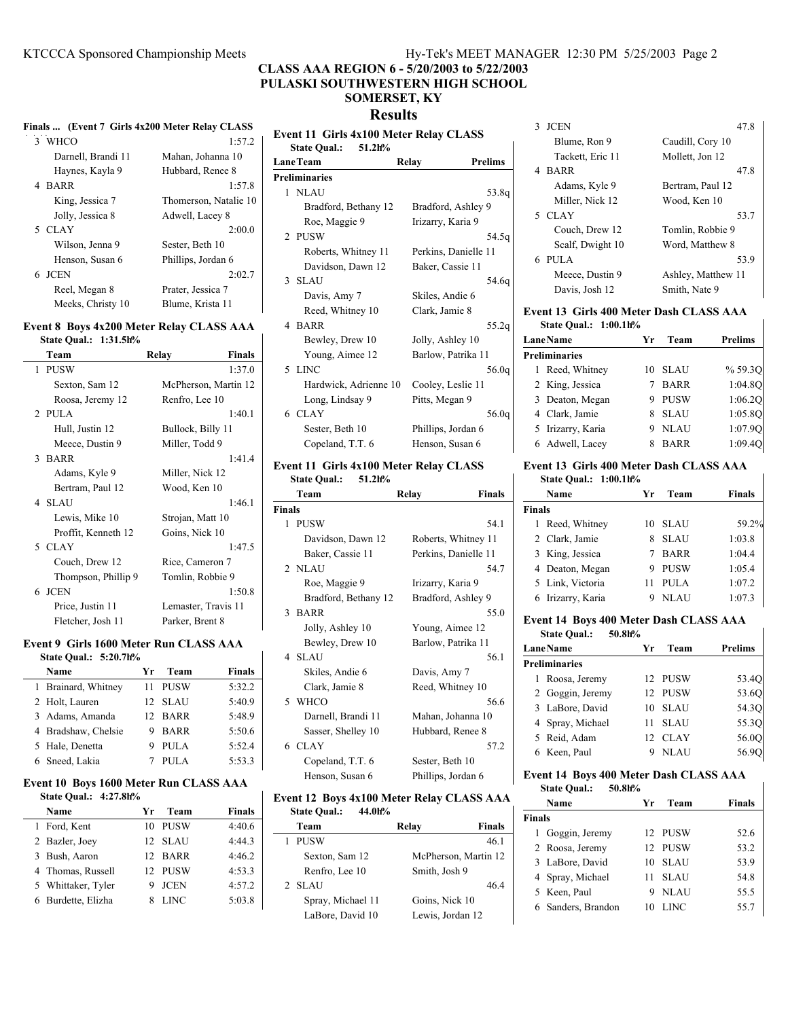# **CLASS AAA REGION 6 - 5/20/2003 to 5/22/2003 PULASKI SOUTHWESTERN HIGH SCHOOL SOMERSET, KY**

# **Results**

|                    | Finals  (Event 7 Girls 4x200 Meter Relay CLASS |
|--------------------|------------------------------------------------|
| 3 WHCO             | 1:57.2                                         |
| Darnell, Brandi 11 | Mahan, Johanna 10                              |
| Haynes, Kayla 9    | Hubbard, Renee 8                               |
| 4 BARR             | 1:57.8                                         |
| King, Jessica 7    | Thomerson, Natalie 10                          |
| Jolly, Jessica 8   | Adwell, Lacey 8                                |
| 5 CLAY             | 2:00.0                                         |
| Wilson, Jenna 9    | Sester, Beth 10                                |
| Henson, Susan 6    | Phillips, Jordan 6                             |
| 6 JCEN             | 2:02.7                                         |
| Reel, Megan 8      | Prater, Jessica 7                              |
| Meeks, Christy 10  | Blume, Krista 11                               |
|                    |                                                |

# **Event 8 Boys 4x200 Meter Relay CLASS AAA**

**State Qual.: 1:31.5h%**

| Team              |                     | <b>Finals</b><br>Relay |
|-------------------|---------------------|------------------------|
| <b>PUSW</b><br>1  |                     | 1:37.0                 |
| Sexton, Sam 12    |                     | McPherson, Martin 12   |
| Roosa, Jeremy 12  |                     | Renfro, Lee 10         |
| 2 PULA            |                     | 1:40.1                 |
| Hull, Justin 12   |                     | Bullock, Billy 11      |
| Meece, Dustin 9   |                     | Miller, Todd 9         |
| 3 BARR            |                     | 1:41.4                 |
| Adams, Kyle 9     |                     | Miller, Nick 12        |
| Bertram, Paul 12  |                     | Wood, Ken 10           |
| 4 SLAU            |                     | 1:46.1                 |
| Lewis, Mike 10    |                     | Strojan, Matt 10       |
|                   | Proffit, Kenneth 12 | Goins, Nick 10         |
| 5 CLAY            |                     | 1:47.5                 |
| Couch, Drew 12    |                     | Rice, Cameron 7        |
|                   | Thompson, Phillip 9 | Tomlin, Robbie 9       |
| 6 JCEN            |                     | 1:50.8                 |
| Price, Justin 11  |                     | Lemaster, Travis 11    |
| Fletcher, Josh 11 |                     | Parker, Brent 8        |
|                   |                     |                        |

# **Event 9 Girls 1600 Meter Run CLASS AAA**

| State Qual.: 5:20.7h% |                   |               |
|-----------------------|-------------------|---------------|
| Name                  | Team<br>Yг        | <b>Finals</b> |
| 1 Brainard, Whitney   | PUSW<br>11        | 5:32.2        |
| 2 Holt, Lauren        | 12 SLAU           | 5:40.9        |
| 3 Adams, Amanda       | 12 BARR           | 5:48.9        |
| 4 Bradshaw, Chelsie   | <b>BARR</b><br>9. | 5:50.6        |
| 5 Hale, Denetta       | PULA              | 5:52.4        |
| 6 Sneed, Lakia        | PULA              | 5:53.3        |

### **Event 10 Boys 1600 Meter Run CLASS AAA State Qual.: 4:27.8h%**

| Name               | Уr | Team        | <b>Finals</b> |
|--------------------|----|-------------|---------------|
| 1 Ford, Kent       |    | 10 PUSW     | 4:40.6        |
| 2 Bazler, Joey     |    | 12 SLAU     | 4:44.3        |
| 3 Bush, Aaron      |    | 12 BARR     | 4:46.2        |
| 4 Thomas, Russell  |    | 12 PUSW     | 4:53.3        |
| 5 Whittaker, Tyler |    | 9 JCEN      | 4:57.2        |
| 6 Burdette, Elizha |    | <b>LINC</b> | 5:03.8        |

| <b>Event 11 Girls 4x100 Meter Relay CLASS</b><br><b>State Qual.:</b><br>51.2h% |                       |                      |                   |
|--------------------------------------------------------------------------------|-----------------------|----------------------|-------------------|
|                                                                                | <b>LaneTeam</b>       | Relay                | <b>Prelims</b>    |
|                                                                                | <b>Preliminaries</b>  |                      |                   |
|                                                                                | 1 NLAU                |                      | 53.8g             |
|                                                                                | Bradford, Bethany 12  | Bradford, Ashley 9   |                   |
|                                                                                | Roe, Maggie 9         | Irizarry, Karia 9    |                   |
|                                                                                | 2 PUSW                |                      | 54.5a             |
|                                                                                | Roberts, Whitney 11   | Perkins, Danielle 11 |                   |
|                                                                                | Davidson, Dawn 12     | Baker, Cassie 11     |                   |
|                                                                                | 3 SLAU                |                      | 54.6a             |
|                                                                                | Davis, Amy 7          | Skiles, Andie 6      |                   |
|                                                                                | Reed, Whitney 10      | Clark, Jamie 8       |                   |
|                                                                                | 4 BARR                |                      | 55.2q             |
|                                                                                | Bewley, Drew 10       | Jolly, Ashley 10     |                   |
|                                                                                | Young, Aimee 12       | Barlow, Patrika 11   |                   |
|                                                                                | 5 LINC                |                      | 56.0q             |
|                                                                                | Hardwick, Adrienne 10 | Cooley, Leslie 11    |                   |
|                                                                                | Long, Lindsay 9       | Pitts, Megan 9       |                   |
|                                                                                | 6 CLAY                |                      | 56.0 <sub>q</sub> |
|                                                                                | Sester, Beth 10       | Phillips, Jordan 6   |                   |
|                                                                                | Copeland, T.T. 6      | Henson, Susan 6      |                   |

### **Event 11 Girls 4x100 Meter Relay CLASS State Qual.: 51.2h%**

|               | Team                 | <b>Finals</b><br>Relay |
|---------------|----------------------|------------------------|
| <b>Finals</b> |                      |                        |
|               | 1 PUSW               | 54.1                   |
|               | Davidson, Dawn 12    | Roberts, Whitney 11    |
|               | Baker, Cassie 11     | Perkins, Danielle 11   |
|               | 2 NLAU               | 54.7                   |
|               | Roe, Maggie 9        | Irizarry, Karia 9      |
|               | Bradford, Bethany 12 | Bradford, Ashley 9     |
|               | 3 BARR               | 55.0                   |
|               | Jolly, Ashley 10     | Young, Aimee 12        |
|               | Bewley, Drew 10      | Barlow, Patrika 11     |
|               | 4 SLAU               | 56.1                   |
|               | Skiles, Andie 6      | Davis, Amy 7           |
|               | Clark, Jamie 8       | Reed, Whitney 10       |
|               | 5 WHCO               | 56.6                   |
|               | Darnell, Brandi 11   | Mahan, Johanna 10      |
|               | Sasser, Shelley 10   | Hubbard, Renee 8       |
|               | 6 CLAY               | 57.2                   |
|               | Copeland, T.T. 6     | Sester, Beth 10        |
|               | Henson, Susan 6      | Phillips, Jordan 6     |

## **Event 12 Boys 4x100 Meter Relay CLASS AAA**

| 44.0h%<br><b>State Qual.:</b> |                        |
|-------------------------------|------------------------|
| Team                          | <b>Finals</b><br>Relav |
| <b>PUSW</b>                   | 46.1                   |
| Sexton, Sam 12                | McPherson, Martin 12   |
| Renfro, Lee 10                | Smith, Josh 9          |
| 2 SLAU                        | 46.4                   |
| Spray, Michael 11             | Goins, Nick 10         |
| LaBore, David 10              | Lewis, Jordan 12       |
|                               |                        |

| 47.8               |
|--------------------|
| Caudill, Cory 10   |
| Mollett, Jon 12    |
| 47.8               |
| Bertram, Paul 12   |
| Wood, Ken 10       |
| 53.7               |
| Tomlin, Robbie 9   |
| Word, Matthew 8    |
| 53.9               |
| Ashley, Matthew 11 |
| Smith, Nate 9      |
|                    |

### **Event 13 Girls 400 Meter Dash CLASS AAA State Qual.: 1:00.1h%**

| <b>LaneName</b>      | Уr | Team        | <b>Prelims</b> |
|----------------------|----|-------------|----------------|
| <b>Preliminaries</b> |    |             |                |
| 1 Reed, Whitney      | 10 | SLAU        | % 59.3Q        |
| 2 King, Jessica      |    | <b>BARR</b> | 1:04.80        |
| 3 Deaton, Megan      |    | <b>PUSW</b> | 1:06.2Q        |
| 4 Clark, Jamie       |    | <b>SLAU</b> | 1:05.8Q        |
| 5 Irizarry, Karia    |    | 9 NLAU      | 1:07.90        |
| 6 Adwell, Lacev      |    | <b>BARR</b> | 1:09.40        |

### **Event 13 Girls 400 Meter Dash CLASS AAA State Qual.: 1:00.1h%**

 $\mathbf{I}$ 

|               | State Oual.: 1:00.1h% |    |             |        |
|---------------|-----------------------|----|-------------|--------|
|               | Name                  | Yr | Team        | Finals |
| <b>Finals</b> |                       |    |             |        |
|               | Reed, Whitney         | 10 | <b>SLAU</b> | 59.2%  |
|               | 2 Clark, Jamie        | 8. | <b>SLAU</b> | 1:03.8 |
|               | 3 King, Jessica       |    | <b>BARR</b> | 1:04.4 |
|               | 4 Deaton, Megan       |    | <b>PUSW</b> | 1:05.4 |
|               | 5 Link, Victoria      |    | PULA        | 1:07.2 |
|               | 6 Irizarry, Karia     |    | NLAU        | 1:07.3 |

### **Event 14 Boys 400 Meter Dash CLASS AAA State Qual.: 50.8h%**

| <b>LaneName</b> |                      | Уr | Team        | <b>Prelims</b> |
|-----------------|----------------------|----|-------------|----------------|
|                 | <b>Preliminaries</b> |    |             |                |
|                 | 1 Roosa, Jeremy      |    | 12 PUSW     | 53.4Q          |
|                 | 2 Goggin, Jeremy     |    | 12 PUSW     | 53.60          |
|                 | 3 LaBore, David      |    | 10 SLAU     | 54.3O          |
|                 | 4 Spray, Michael     | 11 | SLAU        | 55.30          |
|                 | 5 Reid, Adam         |    | 12 CLAY     | 56.0O          |
|                 | 6 Keen, Paul         | 9  | <b>NLAU</b> | 56.90          |

# **Event 14 Boys 400 Meter Dash CLASS AAA State Qual.: 50.8h%**

|               | Name               | Уr | Team        | <b>Finals</b> |
|---------------|--------------------|----|-------------|---------------|
| <b>Finals</b> |                    |    |             |               |
|               | 1 Goggin, Jeremy   |    | 12 PUSW     | 52.6          |
|               | 2 Roosa, Jeremy    |    | 12 PUSW     | 53.2          |
|               | 3 LaBore, David    | 10 | <b>SLAU</b> | 53.9          |
|               | 4 Spray, Michael   | 11 | <b>SLAU</b> | 54.8          |
|               | 5 Keen, Paul       | 9  | <b>NLAU</b> | 55.5          |
|               | 6 Sanders, Brandon | 10 | LINC.       | 55.7          |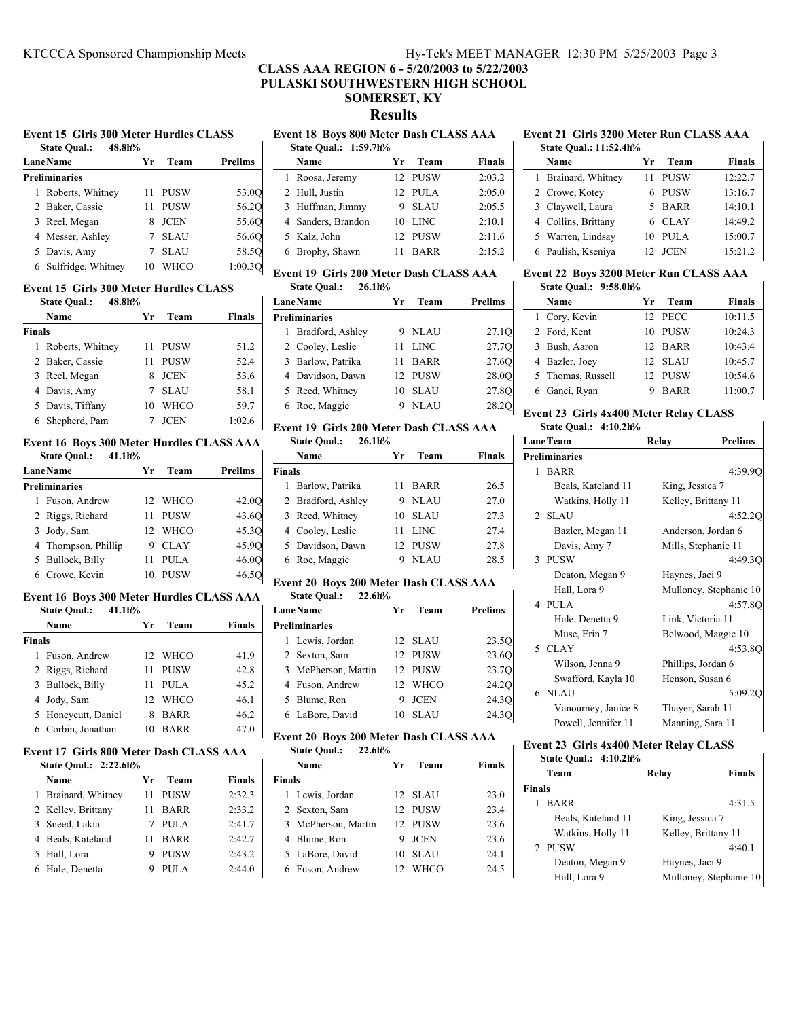# **CLASS AAA REGION 6 - 5/20/2003 to 5/22/2003 PULASKI SOUTHWESTERN HIGH SCHOOL SOMERSET, KY Results**

#### **Event 15 Girls 300 Meter Hurdles CLASS State Qual.: 48.8h%**

| state Qual<br>40.011/0 |    |             |                |
|------------------------|----|-------------|----------------|
| <b>Lane Name</b>       | Уr | Team        | <b>Prelims</b> |
| Preliminaries          |    |             |                |
| Roberts, Whitney       |    | <b>PUSW</b> | 53.0Q          |
| 2 Baker, Cassie        |    | <b>PUSW</b> | 56.20          |
| 3 Reel, Megan          | 8  | <b>JCEN</b> | 55.6Q          |
| 4 Messer, Ashley       |    | <b>SLAU</b> | 56.60          |
| 5 Davis, Amy           |    | <b>SLAU</b> | 58.5O          |
| 6 Sulfridge, Whitney   |    | WHCO        | 1:00.30        |

### **Event 15 Girls 300 Meter Hurdles CLASS**

| 48.8h%<br><b>State Qual.:</b> |                    |    |             |               |  |
|-------------------------------|--------------------|----|-------------|---------------|--|
|                               | Name               | Уr | Team        | <b>Finals</b> |  |
| <b>Finals</b>                 |                    |    |             |               |  |
|                               | 1 Roberts, Whitney | 11 | PUSW        | 51.2          |  |
|                               | 2 Baker, Cassie    | 11 | <b>PUSW</b> | 52.4          |  |
|                               | 3 Reel, Megan      | 8  | <b>JCEN</b> | 53.6          |  |
|                               | 4 Davis, Amy       |    | <b>SLAU</b> | 58.1          |  |
|                               | 5 Davis, Tiffany   | 10 | <b>WHCO</b> | 59.7          |  |
|                               | 6 Shepherd, Pam    |    | <b>JCEN</b> | 1:02.6        |  |

#### **Event 16 Boys 300 Meter Hurdles CLASS AAA State Qual.: 41.1h%**

| <b>Lane Name</b>     |                     | Уr | Team        | <b>Prelims</b> |
|----------------------|---------------------|----|-------------|----------------|
| <b>Preliminaries</b> |                     |    |             |                |
|                      | 1 Fuson, Andrew     |    | 12 WHCO     | 42.0O          |
|                      | 2 Riggs, Richard    | 11 | <b>PUSW</b> | 43.6O          |
|                      | 3 Jody, Sam         |    | 12 WHCO     | 45.3O          |
|                      | 4 Thompson, Phillip |    | CLAY        | 45.9O          |
|                      | 5 Bullock, Billy    |    | <b>PULA</b> | 46.0O          |
|                      | 6 Crowe, Kevin      |    | <b>PUSW</b> | 46.5O          |

#### **Event 16 Boys 300 Meter Hurdles CLASS AAA State Qual.: 41.1h%**

| state Qual.:<br>41.1П70 |                   |               |
|-------------------------|-------------------|---------------|
| Name                    | Team<br>Yr        | <b>Finals</b> |
| <b>Finals</b>           |                   |               |
| 1 Fuson, Andrew         | WHCO<br>12.       | 41.9          |
| 2 Riggs, Richard        | <b>PUSW</b><br>11 | 42.8          |
| 3 Bullock, Billy        | PULA<br>11        | 45.2          |
| 4 Jody, Sam             | WHCO<br>12        | 46.1          |
| 5 Honeycutt, Daniel     | <b>BARR</b><br>8  | 46.2          |
| 6 Corbin, Jonathan      | BARR<br>10        | 47.0          |

# **Event 17 Girls 800 Meter Dash CLASS AAA**

| <b>State Oual.: 2:22.6h%</b> |                   |               |
|------------------------------|-------------------|---------------|
| Name                         | Team<br>Уr        | <b>Finals</b> |
| 1 Brainard, Whitney          | PUSW<br>11        | 2:32.3        |
| 2 Kelley, Brittany           | <b>BARR</b><br>11 | 2:33.2        |
| 3 Sneed, Lakia               | PULA              | 2:41.7        |
| 4 Beals, Kateland            | <b>BARR</b><br>11 | 2:42.7        |
| 5 Hall, Lora                 | <b>PUSW</b><br>9  | 2:43.2        |
| 6 Hale, Denetta              | PULA<br>9         | 2:44.0        |

# **Event 18 Boys 800 Meter Dash CLASS AAA**

 $\mathbf{L}$ 

| State Oual.: 1:59.7h% |    |         |               |  |
|-----------------------|----|---------|---------------|--|
| Name                  | Yr | Team    | <b>Finals</b> |  |
| 1 Roosa, Jeremy       |    | 12 PUSW | 2:03.2        |  |
| 2 Hull, Justin        |    | 12 PULA | 2:05.0        |  |
| 3 Huffman, Jimmy      |    | 9 SLAU  | 2:05.5        |  |
| 4 Sanders, Brandon    |    | 10 LINC | 2:10.1        |  |
| 5 Kalz, John          |    | 12 PUSW | 2:11.6        |  |
| 6 Brophy, Shawn       | 11 | BARR    | 2:15.2        |  |
|                       |    |         |               |  |

# **Event 19 Girls 200 Meter Dash CLASS AAA State Qual.: 26.1h%**

|  | <b>LaneName</b>      | Yr | Team        | Prelims |
|--|----------------------|----|-------------|---------|
|  | <b>Preliminaries</b> |    |             |         |
|  | 1 Bradford, Ashley   |    | 9 NLAU      | 27.10   |
|  | 2 Cooley, Leslie     | 11 | <b>LINC</b> | 27.70   |
|  | 3 Barlow, Patrika    | 11 | BARR        | 27.60   |
|  | 4 Davidson, Dawn     |    | 12 PUSW     | 28.0O   |
|  | 5 Reed, Whitney      |    | 10 SLAU     | 27.8O   |
|  | 6 Roe, Maggie        |    | <b>NLAU</b> | 28.2O   |

#### **Event 19 Girls 200 Meter Dash CLASS AAA State Qual.: 26.1h%**

| Name               | Уr         | Team        | <b>Finals</b>                       |  |
|--------------------|------------|-------------|-------------------------------------|--|
| <b>Finals</b>      |            |             |                                     |  |
| 1 Barlow, Patrika  | 11         |             | 26.5                                |  |
| 2 Bradford, Ashley |            |             | 27.0                                |  |
| 3 Reed, Whitney    | 10.        | <b>SLAU</b> | 27.3                                |  |
| 4 Cooley, Leslie   | 11         |             | 27.4                                |  |
| 5 Davidson, Dawn   |            |             | 27.8                                |  |
| 6 Roe, Maggie      |            | <b>NLAU</b> | 28.5                                |  |
|                    | statt Vual | 49.III/0    | BARR<br>9 NLAU<br>- LINC<br>12 PUSW |  |

# **Event 20 Boys 200 Meter Dash CLASS AAA**

| 22.6h%<br><b>State Qual.:</b> |    |             |                   |
|-------------------------------|----|-------------|-------------------|
| <b>LaneName</b>               | Уr | Team        | Prelims           |
| Preliminaries                 |    |             |                   |
| 1 Lewis, Jordan               |    | 12 SLAU     | 23.5Q             |
| 2 Sexton, Sam                 |    | 12 PUSW     | 23.60             |
| 3 McPherson, Martin           |    | 12 PUSW     | 23.7Q             |
| 4 Fuson, Andrew               |    | 12 WHCO     | 24.2Q             |
| 5 Blume, Ron                  | 9  | JCEN        | 24.3 <sub>O</sub> |
| 6 LaBore, David               | 10 | <b>SLAU</b> | 24.3O             |
|                               |    |             |                   |

# **Event 20 Boys 200 Meter Dash CLASS AAA**

| <b>State Qual.:</b> | 22.6h% |
|---------------------|--------|
|---------------------|--------|

|               | Name                | Уr | Team        | Finals |
|---------------|---------------------|----|-------------|--------|
| <b>Finals</b> |                     |    |             |        |
|               | 1 Lewis, Jordan     |    | 12 SLAU     | 23.0   |
|               | 2 Sexton, Sam       |    | 12 PUSW     | 23.4   |
|               | 3 McPherson, Martin |    | 12 PUSW     | 23.6   |
|               | 4 Blume, Ron        | 9  | <b>JCEN</b> | 23.6   |
|               | 5 LaBore, David     | 10 | <b>SLAU</b> | 24.1   |
|               | 6 Fuson, Andrew     | 12 | WHCO        | 24.5   |

#### **Event 21 Girls 3200 Meter Run CLASS AAA State Qual.: 11:52.4h%**

| <u>saato vuuni 11:sei m/v</u> |  |                     |    |             |               |
|-------------------------------|--|---------------------|----|-------------|---------------|
|                               |  | Name                | Yr | Team        | <b>Finals</b> |
|                               |  | 1 Brainard, Whitney | 11 | PUSW        | 12:22.7       |
|                               |  | 2 Crowe, Kotey      |    | 6 PUSW      | 13:16.7       |
|                               |  | 3 Claywell, Laura   |    | 5 BARR      | 14:10.1       |
|                               |  | 4 Collins, Brittany |    | 6 CLAY      | 14:49.2       |
|                               |  | 5 Warren, Lindsay   | 10 | PULA        | 15:00.7       |
|                               |  | 6 Paulish, Kseniya  | 12 | <b>JCEN</b> | 15:21.2       |
|                               |  |                     |    |             |               |

#### **Event 22 Boys 3200 Meter Run CLASS AAA State Qual.: 9:58.0h%**

| Name              | Team<br>Уr  | <b>Finals</b> |
|-------------------|-------------|---------------|
| 1 Cory, Kevin     | 12 PECC     | 10:11.5       |
| 2 Ford, Kent      | PUSW<br>10  | 10:24.3       |
| 3 Bush, Aaron     | 12 BARR     | 10:43.4       |
| 4 Bazler, Joey    | 12 SLAU     | 10:45.7       |
| 5 Thomas, Russell | 12 PUSW     | 10:54.6       |
| 6 Ganci, Ryan     | <b>BARR</b> | 11:00.7       |

# **Event 23 Girls 4x400 Meter Relay CLASS**

 $\mathbf{r}$ 

| State Qual.: 4:10.2h% |                      |                    |                        |  |  |
|-----------------------|----------------------|--------------------|------------------------|--|--|
|                       | <b>LaneTeam</b>      | Relay              | <b>Prelims</b>         |  |  |
|                       | <b>Preliminaries</b> |                    |                        |  |  |
|                       | 1 BARR               |                    | 4:39.9Q                |  |  |
|                       | Beals, Kateland 11   | King, Jessica 7    |                        |  |  |
|                       | Watkins, Holly 11    |                    | Kelley, Brittany 11    |  |  |
|                       | 2 SLAU               |                    | 4:52.20                |  |  |
|                       | Bazler, Megan 11     |                    | Anderson, Jordan 6     |  |  |
|                       | Davis, Amy 7         |                    | Mills, Stephanie 11    |  |  |
|                       | 3 PUSW               |                    | 4:49.30                |  |  |
|                       | Deaton, Megan 9      | Haynes, Jaci 9     |                        |  |  |
|                       | Hall, Lora 9         |                    | Mulloney, Stephanie 10 |  |  |
|                       | 4 PULA               |                    | 4:57.8O                |  |  |
|                       | Hale, Denetta 9      | Link, Victoria 11  |                        |  |  |
|                       | Muse, Erin 7         |                    | Belwood, Maggie 10     |  |  |
|                       | 5 CLAY               |                    | 4:53.8O                |  |  |
|                       | Wilson, Jenna 9      | Phillips, Jordan 6 |                        |  |  |
|                       | Swafford, Kayla 10   | Henson, Susan 6    |                        |  |  |
|                       | 6 NLAU               |                    | 5:09.20                |  |  |
|                       | Vanourney, Janice 8  | Thayer, Sarah 11   |                        |  |  |
|                       | Powell, Jennifer 11  | Manning, Sara 11   |                        |  |  |
|                       |                      |                    |                        |  |  |

### **Event 23 Girls 4x400 Meter Relay CLASS State Qual.: 4:10.2h%**

|               | Team               | Relay                  | Finals |  |
|---------------|--------------------|------------------------|--------|--|
| <b>Finals</b> |                    |                        |        |  |
| 1             | <b>BARR</b>        |                        | 4:31.5 |  |
|               | Beals, Kateland 11 | King, Jessica 7        |        |  |
|               | Watkins, Holly 11  | Kelley, Brittany 11    |        |  |
|               | 2 PUSW             |                        | 4:40.1 |  |
|               | Deaton, Megan 9    | Haynes, Jaci 9         |        |  |
|               | Hall, Lora 9       | Mulloney, Stephanie 10 |        |  |
|               |                    |                        |        |  |